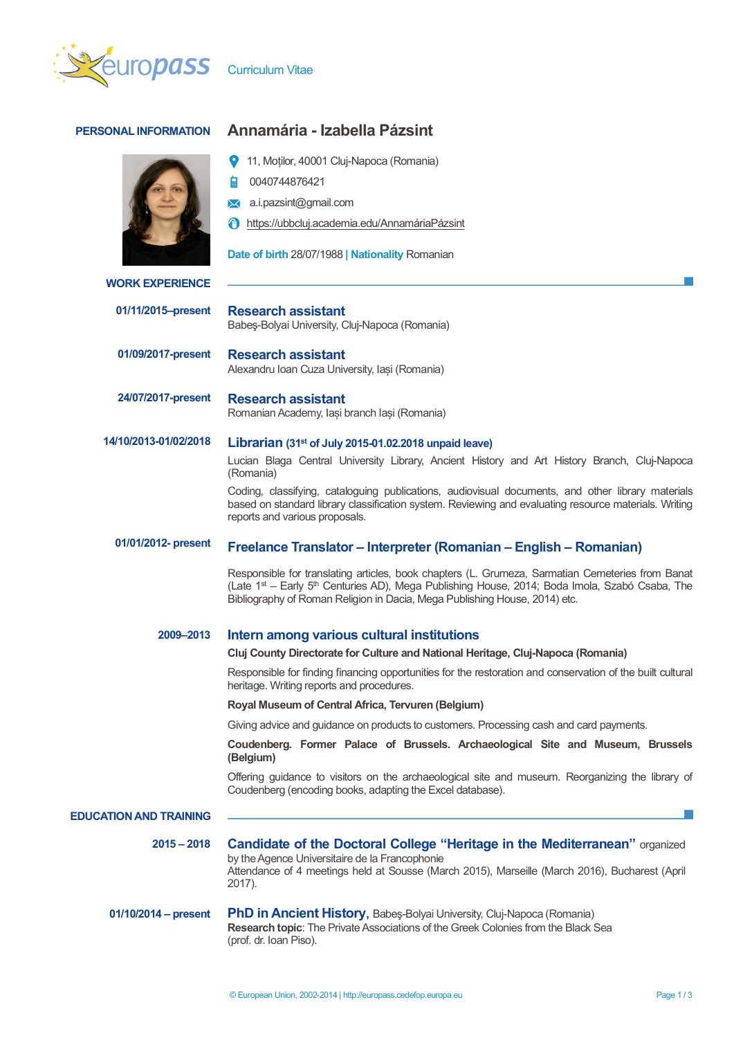



## **PERSONAL INFORMATION Annamária - Izabella Pázsint**

- 11, Moților, 40001 Cluj-Napoca (Romania)
- 0040744876421
- **X** a.i.pazsint@gmail.com
- https://ubbcluj.academia.edu/AnnamáriaPázsint

**Date of birth** 28/07/1988 **| Nationality** Romanian

|                               | Date of birth 28/07/1988   Nationality Romanian                                                                                                                                                                                                                                                                                                                                                                                |  |  |  |
|-------------------------------|--------------------------------------------------------------------------------------------------------------------------------------------------------------------------------------------------------------------------------------------------------------------------------------------------------------------------------------------------------------------------------------------------------------------------------|--|--|--|
| <b>WORK EXPERIENCE</b>        |                                                                                                                                                                                                                                                                                                                                                                                                                                |  |  |  |
| 01/11/2015-present            | <b>Research assistant</b><br>Babes-Bolyai University, Cluj-Napoca (Romania)                                                                                                                                                                                                                                                                                                                                                    |  |  |  |
| 01/09/2017-present            | <b>Research assistant</b><br>Alexandru Ioan Cuza University, Iași (Romania)                                                                                                                                                                                                                                                                                                                                                    |  |  |  |
| 24/07/2017-present            | <b>Research assistant</b><br>Romanian Academy, Iași branch Iași (Romania)                                                                                                                                                                                                                                                                                                                                                      |  |  |  |
| 14/10/2013-01/02/2018         | Librarian (31 <sup>st</sup> of July 2015-01.02.2018 unpaid leave)<br>Lucian Blaga Central University Library, Ancient History and Art History Branch, Cluj-Napoca<br>(Romania)<br>Coding, classifying, cataloguing publications, audiovisual documents, and other library materials<br>based on standard library classification system. Reviewing and evaluating resource materials. Writing<br>reports and various proposals. |  |  |  |
| 01/01/2012- present           | Freelance Translator – Interpreter (Romanian – English – Romanian)                                                                                                                                                                                                                                                                                                                                                             |  |  |  |
|                               | Responsible for translating articles, book chapters (L. Grumeza, Sarmatian Cemeteries from Banat<br>(Late 1 <sup>st</sup> – Early 5 <sup>th</sup> Centuries AD), Mega Publishing House, 2014; Boda Imola, Szabó Csaba, The<br>Bibliography of Roman Religion in Dacia, Mega Publishing House, 2014) etc.                                                                                                                       |  |  |  |
| 2009-2013                     | Intern among various cultural institutions                                                                                                                                                                                                                                                                                                                                                                                     |  |  |  |
|                               | Cluj County Directorate for Culture and National Heritage, Cluj-Napoca (Romania)                                                                                                                                                                                                                                                                                                                                               |  |  |  |
|                               | Responsible for finding financing opportunities for the restoration and conservation of the built cultural<br>heritage. Writing reports and procedures.                                                                                                                                                                                                                                                                        |  |  |  |
|                               | Royal Museum of Central Africa, Tervuren (Belgium)                                                                                                                                                                                                                                                                                                                                                                             |  |  |  |
|                               | Giving advice and guidance on products to customers. Processing cash and card payments.                                                                                                                                                                                                                                                                                                                                        |  |  |  |
|                               | Coudenberg. Former Palace of Brussels. Archaeological Site and Museum, Brussels<br>(Belgium)                                                                                                                                                                                                                                                                                                                                   |  |  |  |
|                               | Offering guidance to visitors on the archaeological site and museum. Reorganizing the library of<br>Coudenberg (encoding books, adapting the Excel database).                                                                                                                                                                                                                                                                  |  |  |  |
| <b>EDUCATION AND TRAINING</b> |                                                                                                                                                                                                                                                                                                                                                                                                                                |  |  |  |
| $2015 - 2018$                 | <b>Candidate of the Doctoral College "Heritage in the Mediterranean"</b> organized<br>by the Agence Universitaire de la Francophonie<br>Attendance of 4 meetings held at Sousse (March 2015), Marseille (March 2016), Bucharest (April<br>2017).                                                                                                                                                                               |  |  |  |
| $01/10/2014 - present$        | PhD in Ancient History, Babes-Bolyai University, Cluj-Napoca (Romania)<br>Research topic: The Private Associations of the Greek Colonies from the Black Sea<br>(prof. dr. Ioan Piso).                                                                                                                                                                                                                                          |  |  |  |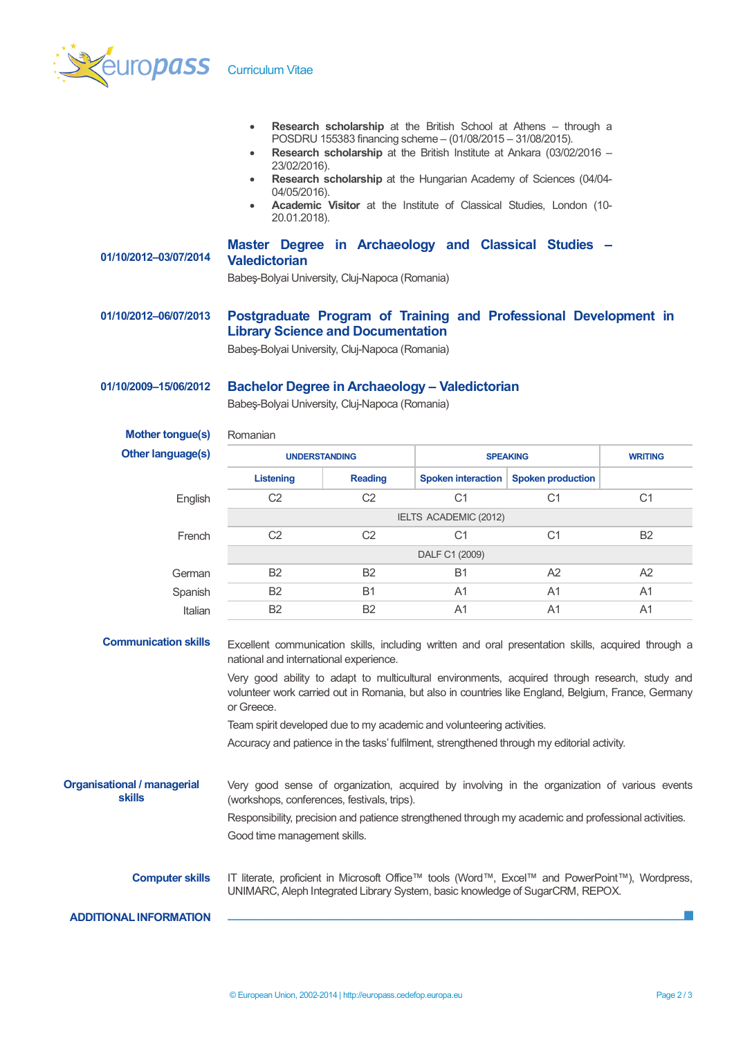

|                                              | $\bullet$<br>$\bullet$<br>23/02/2016).<br>$\bullet$<br>04/05/2016).<br>$\bullet$<br>20.01.2018).                                                                                                                    |                | POSDRU 155383 financing scheme - (01/08/2015 - 31/08/2015). | Research scholarship at the British School at Athens - through a<br>Research scholarship at the British Institute at Ankara (03/02/2016 -<br>Research scholarship at the Hungarian Academy of Sciences (04/04-<br>Academic Visitor at the Institute of Classical Studies, London (10- |                |  |
|----------------------------------------------|---------------------------------------------------------------------------------------------------------------------------------------------------------------------------------------------------------------------|----------------|-------------------------------------------------------------|---------------------------------------------------------------------------------------------------------------------------------------------------------------------------------------------------------------------------------------------------------------------------------------|----------------|--|
| 01/10/2012-03/07/2014                        | Master Degree in Archaeology and Classical Studies -<br><b>Valedictorian</b><br>Babeş-Bolyai University, Cluj-Napoca (Romania)                                                                                      |                |                                                             |                                                                                                                                                                                                                                                                                       |                |  |
| 01/10/2012-06/07/2013                        | Postgraduate Program of Training and Professional Development in<br><b>Library Science and Documentation</b><br>Babeş-Bolyai University, Cluj-Napoca (Romania)                                                      |                |                                                             |                                                                                                                                                                                                                                                                                       |                |  |
| 01/10/2009-15/06/2012                        | <b>Bachelor Degree in Archaeology - Valedictorian</b><br>Babeş-Bolyai University, Cluj-Napoca (Romania)                                                                                                             |                |                                                             |                                                                                                                                                                                                                                                                                       |                |  |
| <b>Mother tongue(s)</b>                      | Romanian                                                                                                                                                                                                            |                |                                                             |                                                                                                                                                                                                                                                                                       |                |  |
| Other language(s)                            | <b>UNDERSTANDING</b>                                                                                                                                                                                                |                |                                                             | <b>SPEAKING</b>                                                                                                                                                                                                                                                                       | <b>WRITING</b> |  |
|                                              | Listening                                                                                                                                                                                                           | <b>Reading</b> | Spoken interaction                                          | <b>Spoken production</b>                                                                                                                                                                                                                                                              |                |  |
| English                                      | C <sub>2</sub>                                                                                                                                                                                                      | C <sub>2</sub> | C <sub>1</sub>                                              | C <sub>1</sub>                                                                                                                                                                                                                                                                        | C <sub>1</sub> |  |
|                                              |                                                                                                                                                                                                                     |                | IELTS ACADEMIC (2012)                                       |                                                                                                                                                                                                                                                                                       |                |  |
| French                                       | C <sub>2</sub>                                                                                                                                                                                                      | C <sub>2</sub> | C <sub>1</sub>                                              | C <sub>1</sub>                                                                                                                                                                                                                                                                        | <b>B2</b>      |  |
|                                              |                                                                                                                                                                                                                     |                | DALF C1 (2009)                                              |                                                                                                                                                                                                                                                                                       |                |  |
| German                                       | B <sub>2</sub>                                                                                                                                                                                                      | <b>B2</b>      | <b>B1</b>                                                   | A2                                                                                                                                                                                                                                                                                    | A2             |  |
| Spanish                                      | B <sub>2</sub>                                                                                                                                                                                                      | <b>B1</b>      | A1                                                          | A1                                                                                                                                                                                                                                                                                    | A1             |  |
| Italian                                      | <b>B2</b>                                                                                                                                                                                                           | B <sub>2</sub> | A1                                                          | A <sub>1</sub>                                                                                                                                                                                                                                                                        | A <sub>1</sub> |  |
| <b>Communication skills</b>                  | Excellent communication skills, including written and oral presentation skills, acquired through a<br>national and international experience.                                                                        |                |                                                             |                                                                                                                                                                                                                                                                                       |                |  |
|                                              | Very good ability to adapt to multicultural environments, acquired through research, study and<br>volunteer work carried out in Romania, but also in countries like England, Belgium, France, Germany<br>or Greece. |                |                                                             |                                                                                                                                                                                                                                                                                       |                |  |
|                                              | Team spirit developed due to my academic and volunteering activities.                                                                                                                                               |                |                                                             |                                                                                                                                                                                                                                                                                       |                |  |
|                                              | Accuracy and patience in the tasks' fulfilment, strengthened through my editorial activity.                                                                                                                         |                |                                                             |                                                                                                                                                                                                                                                                                       |                |  |
| <b>Organisational / managerial</b><br>skills | Very good sense of organization, acquired by involving in the organization of various events<br>(workshops, conferences, festivals, trips).                                                                         |                |                                                             |                                                                                                                                                                                                                                                                                       |                |  |
|                                              | Responsibility, precision and patience strengthened through my academic and professional activities.                                                                                                                |                |                                                             |                                                                                                                                                                                                                                                                                       |                |  |
|                                              | Good time management skills.                                                                                                                                                                                        |                |                                                             |                                                                                                                                                                                                                                                                                       |                |  |
| <b>Computer skills</b>                       | IT literate, proficient in Microsoft Office™ tools (Word™, Excel™ and PowerPoint™), Wordpress,<br>UNIMARC, Aleph Integrated Library System, basic knowledge of SugarCRM, REPOX.                                     |                |                                                             |                                                                                                                                                                                                                                                                                       |                |  |
| <b>ADDITIONAL INFORMATION</b>                |                                                                                                                                                                                                                     |                |                                                             |                                                                                                                                                                                                                                                                                       |                |  |